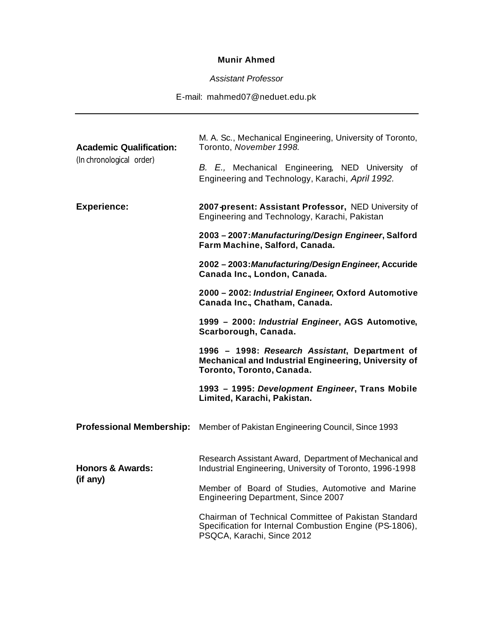## **Munir Ahmed**

*Assistant Professor*

E-mail: mahmed07@neduet.edu.pk

| <b>Academic Qualification:</b><br>(In chronological order) | M. A. Sc., Mechanical Engineering, University of Toronto,<br>Toronto, November 1998.<br>B. E., Mechanical Engineering, NED University of<br>Engineering and Technology, Karachi, April 1992. |
|------------------------------------------------------------|----------------------------------------------------------------------------------------------------------------------------------------------------------------------------------------------|
| <b>Experience:</b>                                         | 2007-present: Assistant Professor, NED University of<br>Engineering and Technology, Karachi, Pakistan                                                                                        |
|                                                            | 2003 - 2007: Manufacturing/Design Engineer, Salford<br>Farm Machine, Salford, Canada.                                                                                                        |
|                                                            | 2002 - 2003: Manufacturing/Design Engineer, Accuride<br>Canada Inc., London, Canada.                                                                                                         |
|                                                            | 2000 - 2002: Industrial Engineer, Oxford Automotive<br>Canada Inc., Chatham, Canada.                                                                                                         |
|                                                            | 1999 - 2000: Industrial Engineer, AGS Automotive,<br>Scarborough, Canada.                                                                                                                    |
|                                                            | 1996 - 1998: Research Assistant, Department of<br>Mechanical and Industrial Engineering, University of<br>Toronto, Toronto, Canada.                                                          |
|                                                            | 1993 - 1995: Development Engineer, Trans Mobile<br>Limited, Karachi, Pakistan.                                                                                                               |
| <b>Professional Membership:</b>                            | Member of Pakistan Engineering Council, Since 1993                                                                                                                                           |
| <b>Honors &amp; Awards:</b><br>(if any)                    | Research Assistant Award, Department of Mechanical and<br>Industrial Engineering, University of Toronto, 1996-1998                                                                           |
|                                                            | Member of Board of Studies, Automotive and Marine<br><b>Engineering Department, Since 2007</b>                                                                                               |
|                                                            | Chairman of Technical Committee of Pakistan Standard<br>Specification for Internal Combustion Engine (PS-1806),<br>PSQCA, Karachi, Since 2012                                                |